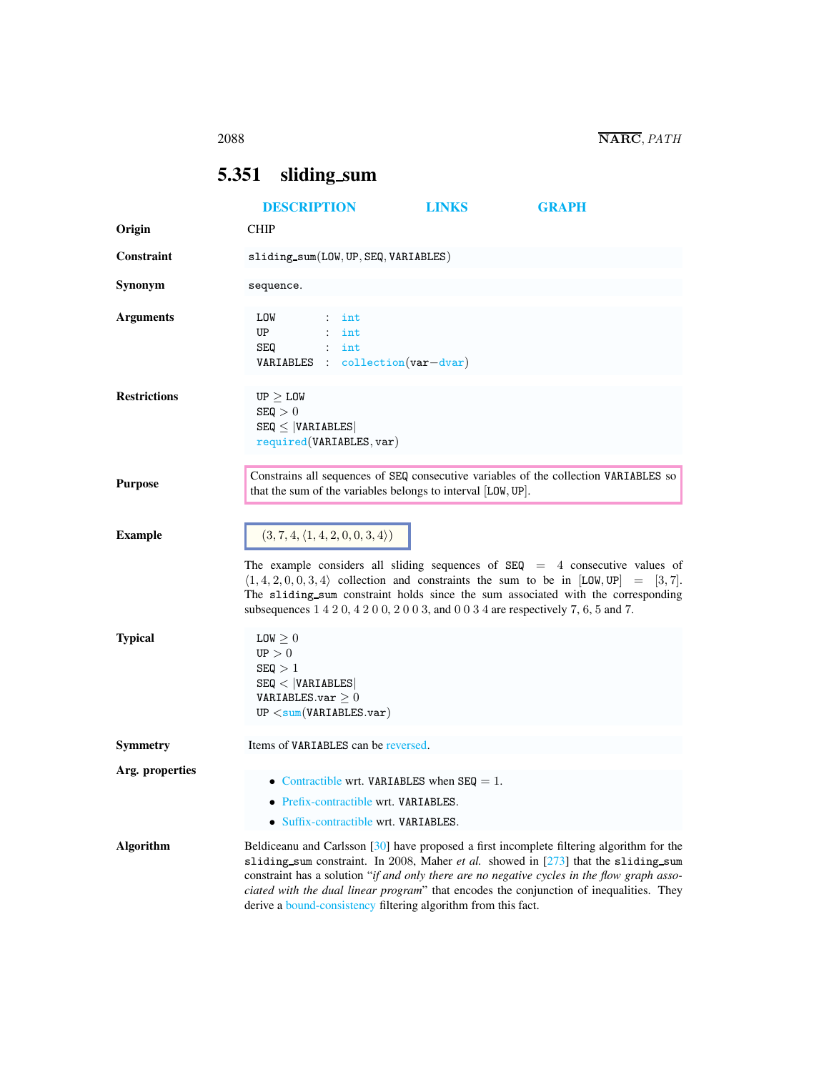# <span id="page-0-0"></span>5.351 sliding\_sum

|                     | <b>DESCRIPTION</b>                                                                                                            | <b>LINKS</b>                                                                                         | <b>GRAPH</b>                                                                                                                                                                                                                                                                                                                                                              |
|---------------------|-------------------------------------------------------------------------------------------------------------------------------|------------------------------------------------------------------------------------------------------|---------------------------------------------------------------------------------------------------------------------------------------------------------------------------------------------------------------------------------------------------------------------------------------------------------------------------------------------------------------------------|
| Origin              | <b>CHIP</b>                                                                                                                   |                                                                                                      |                                                                                                                                                                                                                                                                                                                                                                           |
| Constraint          | sliding.sum(LOW, UP, SEQ, VARIABLES)                                                                                          |                                                                                                      |                                                                                                                                                                                                                                                                                                                                                                           |
| Synonym             | sequence.                                                                                                                     |                                                                                                      |                                                                                                                                                                                                                                                                                                                                                                           |
| <b>Arguments</b>    | LOW<br>$\mathbb{Z}^{\mathbb{Z}}$<br>int<br>UP<br>$\mathcal{L}$<br>int<br>SEQ<br>$:$ int<br>$VARIABLES$ : collection(var-dvar) |                                                                                                      |                                                                                                                                                                                                                                                                                                                                                                           |
| <b>Restrictions</b> | $UP \geq LOW$<br>SEQ > 0<br>$SEQ \leq  VARIABLES $<br>required(VARIABLES, var)                                                |                                                                                                      |                                                                                                                                                                                                                                                                                                                                                                           |
| <b>Purpose</b>      |                                                                                                                               | that the sum of the variables belongs to interval [LOW, UP].                                         | Constrains all sequences of SEQ consecutive variables of the collection VARIABLES so                                                                                                                                                                                                                                                                                      |
| <b>Example</b>      | $(3, 7, 4, \langle 1, 4, 2, 0, 0, 3, 4 \rangle)$                                                                              |                                                                                                      |                                                                                                                                                                                                                                                                                                                                                                           |
|                     |                                                                                                                               | subsequences $1\ 4\ 2\ 0\ 4\ 2\ 0\ 0\ 2\ 0\ 0\ 3$ , and $0\ 0\ 3\ 4$ are respectively 7, 6, 5 and 7. | The example considers all sliding sequences of $SEQ = 4$ consecutive values of<br>$\langle 1, 4, 2, 0, 0, 3, 4 \rangle$ collection and constraints the sum to be in [LOW, UP] = [3, 7].<br>The sliding sum constraint holds since the sum associated with the corresponding                                                                                               |
| <b>Typical</b>      | $LOW \geq 0$<br>UP > 0<br>SEQ > 1<br>SEQ <  VARIABLES <br>VARIABLES.var $\geq 0$<br>UP < sum(VARIABLES.var)                   |                                                                                                      |                                                                                                                                                                                                                                                                                                                                                                           |
| Symmetry            | Items of VARIABLES can be reversed.                                                                                           |                                                                                                      |                                                                                                                                                                                                                                                                                                                                                                           |
| Arg. properties     | • Prefix-contractible wrt. VARIABLES.<br>• Suffix-contractible wrt. VARIABLES.                                                | • Contractible wrt. VARIABLES when $SEQ = 1$ .                                                       |                                                                                                                                                                                                                                                                                                                                                                           |
| <b>Algorithm</b>    |                                                                                                                               | derive a bound-consistency filtering algorithm from this fact.                                       | Beldiceanu and Carlsson [30] have proposed a first incomplete filtering algorithm for the<br>sliding_sum constraint. In 2008, Maher et al. showed in [273] that the sliding_sum<br>constraint has a solution "if and only there are no negative cycles in the flow graph asso-<br>ciated with the dual linear program" that encodes the conjunction of inequalities. They |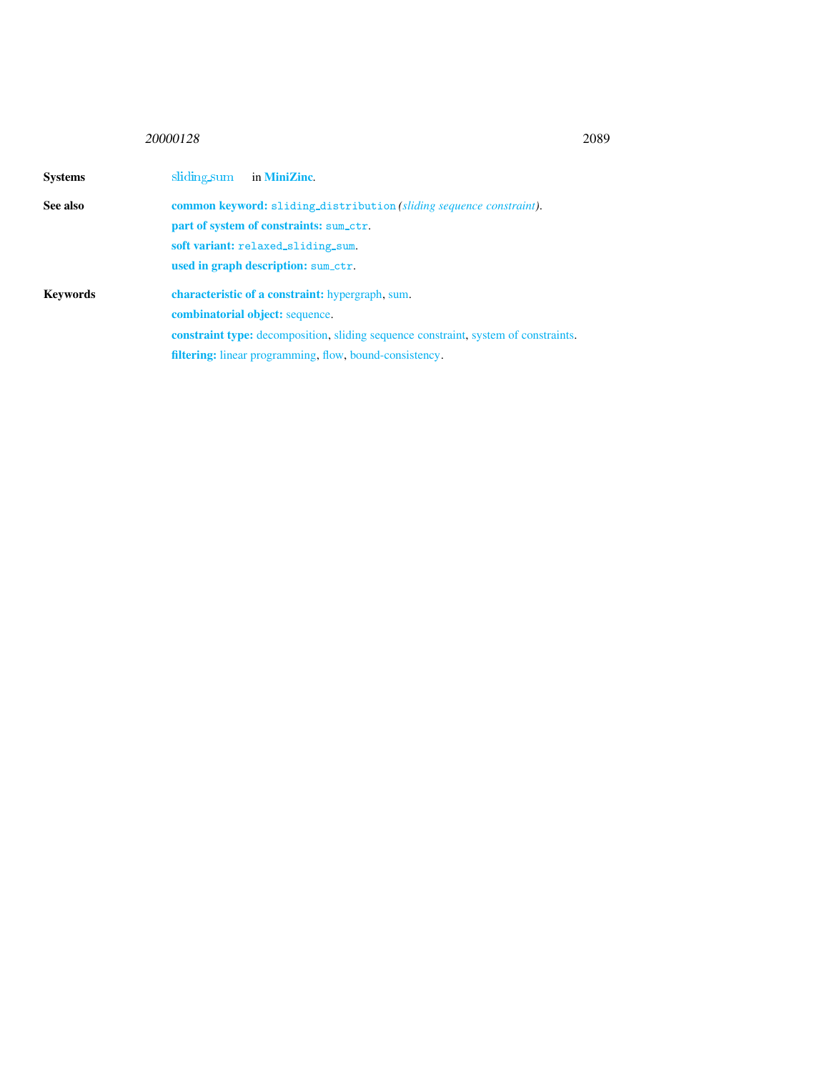# <sup>20000128</sup> 2089

<span id="page-1-0"></span>

| <b>Systems</b>  | sliding sum<br>in MiniZinc.                                                               |  |  |
|-----------------|-------------------------------------------------------------------------------------------|--|--|
| See also        | <b>common keyword:</b> sliding_distribution (sliding sequence constraint).                |  |  |
|                 | part of system of constraints: sum_ctr.                                                   |  |  |
|                 | soft variant: relaxed_sliding_sum.                                                        |  |  |
|                 | used in graph description: sum_ctr.                                                       |  |  |
| <b>Keywords</b> | characteristic of a constraint: hypergraph, sum.                                          |  |  |
|                 | <b>combinatorial object:</b> sequence.                                                    |  |  |
|                 | <b>constraint type:</b> decomposition, sliding sequence constraint system of constraints. |  |  |
|                 | <b>filtering:</b> linear programming, flow, bound-consistency.                            |  |  |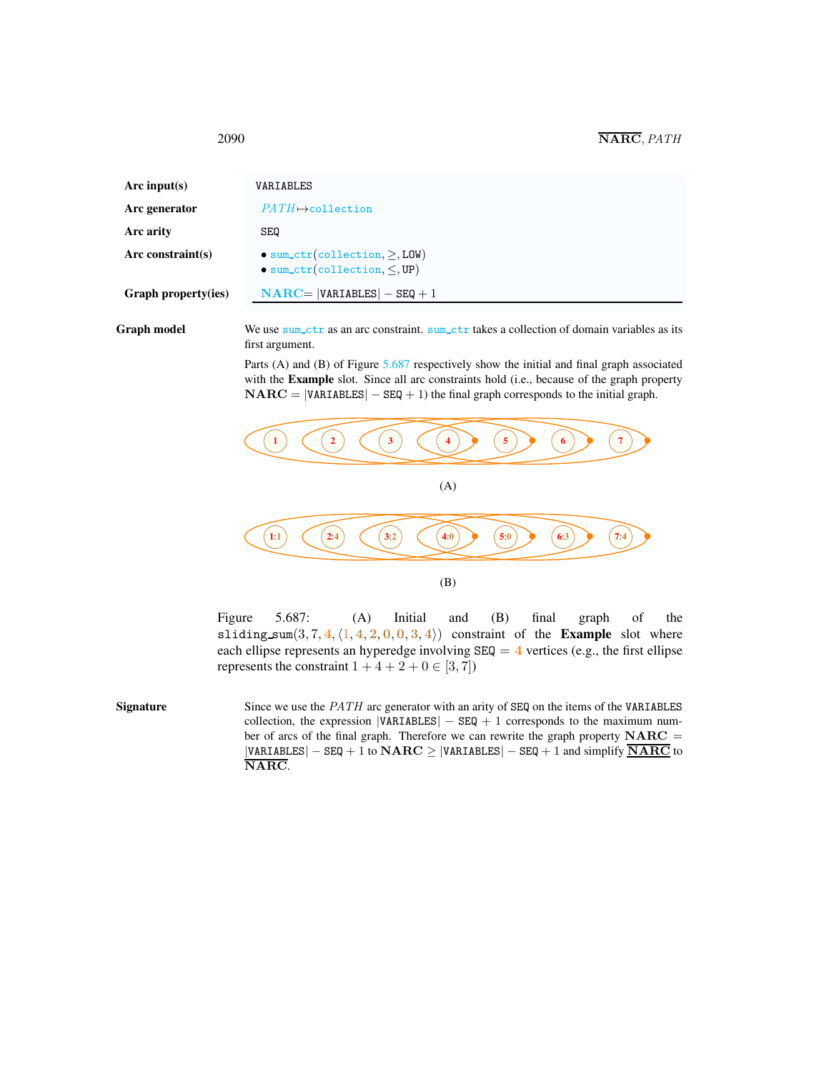<span id="page-2-0"></span>

| Arc input(s)        | VARIABLES                                                                              |
|---------------------|----------------------------------------------------------------------------------------|
| Arc generator       | $PATH \rightarrow$ collection                                                          |
| Arc arity           | SEQ                                                                                    |
| Arc constraint(s)   | $\bullet$ sum_ctr(collection, $>$ , LOW)<br>$\bullet$ sum_ctr(collection, $\leq$ , UP) |
| Graph property(ies) | $NARC =  VARIABLES  - SEQ + 1$                                                         |

Graph model We use sum\_ctr as an arc constraint. sum\_ctr takes a collection of domain variables as its first argument.

> Parts (A) and (B) of Figure [5.687](#page-2-1) respectively show the initial and final graph associated with the Example slot. Since all arc constraints hold (i.e., because of the graph property  $\mathbf{NARC} = |\mathbf{VARIABLES}| - \mathbf{SEQ} + 1$ ) the final graph corresponds to the initial graph.



<span id="page-2-1"></span>Figure 5.687: (A) Initial and (B) final graph of the sliding sum $(3, 7, 4, \langle 1, 4, 2, 0, 0, 3, 4 \rangle)$  constraint of the Example slot where each ellipse represents an hyperedge involving  $SEQ = 4$  vertices (e.g., the first ellipse represents the constraint  $1 + 4 + 2 + 0 \in [3, 7]$ 

Signature Since we use the *PATH* arc generator with an arity of SEQ on the items of the VARIABLES collection, the expression  $|VARTABLES| - SEQ + 1$  corresponds to the maximum number of arcs of the final graph. Therefore we can rewrite the graph property  $NARC =$  $|VARTABLES| - SEQ + 1$  to  $NARC \ge |VARIABLES| - SEQ + 1$  and simplify  $\overline{NARC}$  to NARC.